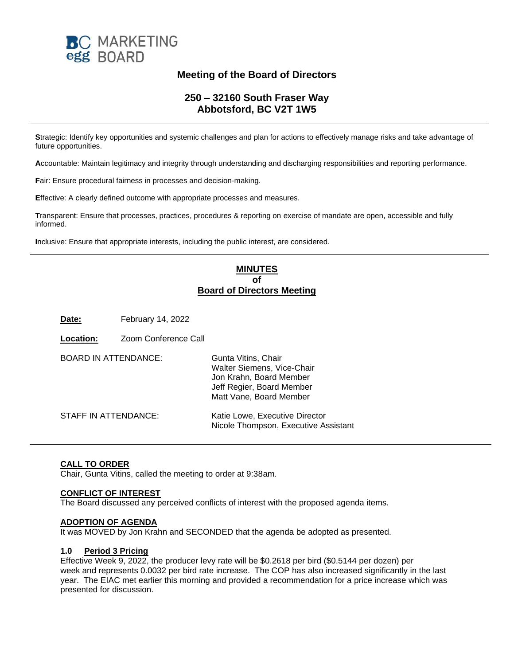

# **Meeting of the Board of Directors**

## **250 – 32160 South Fraser Way Abbotsford, BC V2T 1W5**

**S**trategic: Identify key opportunities and systemic challenges and plan for actions to effectively manage risks and take advantage of future opportunities.

**A**ccountable: Maintain legitimacy and integrity through understanding and discharging responsibilities and reporting performance.

**F**air: Ensure procedural fairness in processes and decision-making.

**E**ffective: A clearly defined outcome with appropriate processes and measures.

**T**ransparent: Ensure that processes, practices, procedures & reporting on exercise of mandate are open, accessible and fully informed.

**I**nclusive: Ensure that appropriate interests, including the public interest, are considered.

## **MINUTES of Board of Directors Meeting**

**Date:** February 14, 2022

| <b>Location:</b>            | Zoom Conference Call |                                                                                                                                      |
|-----------------------------|----------------------|--------------------------------------------------------------------------------------------------------------------------------------|
| <b>BOARD IN ATTENDANCE:</b> |                      | Gunta Vitins, Chair<br>Walter Siemens, Vice-Chair<br>Jon Krahn, Board Member<br>Jeff Regier, Board Member<br>Matt Vane, Board Member |
| STAFF IN ATTENDANCE:        |                      | Katie Lowe, Executive Director<br>Nicole Thompson, Executive Assistant                                                               |

### **CALL TO ORDER**

Chair, Gunta Vitins, called the meeting to order at 9:38am.

#### **CONFLICT OF INTEREST**

The Board discussed any perceived conflicts of interest with the proposed agenda items.

#### **ADOPTION OF AGENDA**

It was MOVED by Jon Krahn and SECONDED that the agenda be adopted as presented.

#### **1.0 Period 3 Pricing**

Effective Week 9, 2022, the producer levy rate will be \$0.2618 per bird (\$0.5144 per dozen) per week and represents 0.0032 per bird rate increase. The COP has also increased significantly in the last year. The EIAC met earlier this morning and provided a recommendation for a price increase which was presented for discussion.